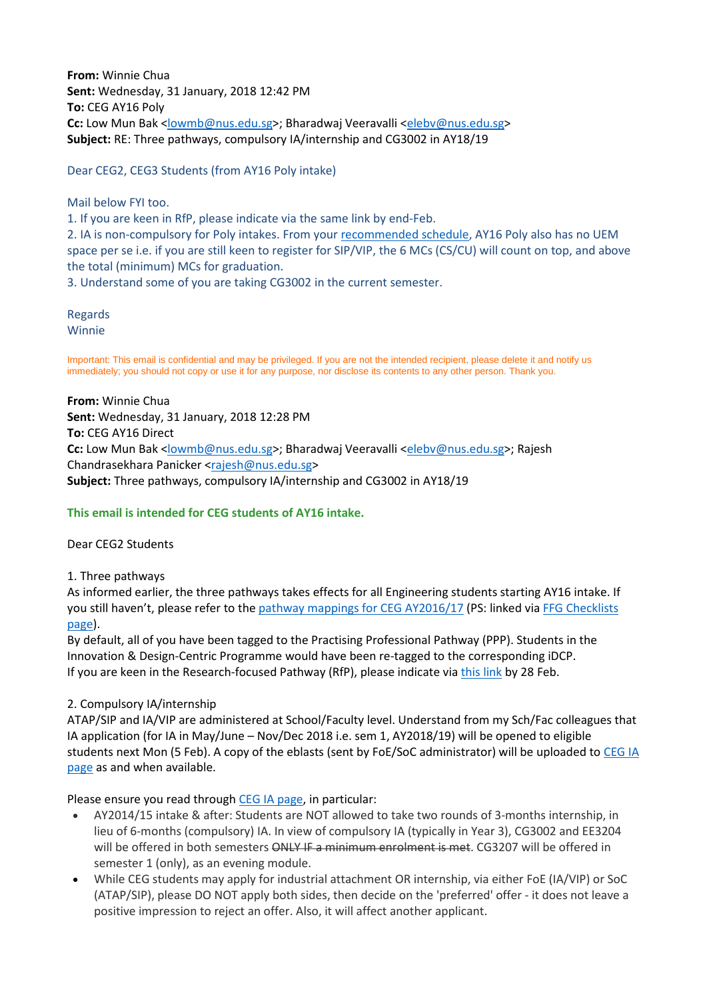**From:** Winnie Chua **Sent:** Wednesday, 31 January, 2018 12:42 PM **To:** CEG AY16 Poly Cc: Low Mun Bak [<lowmb@nus.edu.sg>](mailto:lowmb@nus.edu.sg); Bharadwaj Veeravalli [<elebv@nus.edu.sg>](mailto:elebv@nus.edu.sg) **Subject:** RE: Three pathways, compulsory IA/internship and CG3002 in AY18/19

Dear CEG2, CEG3 Students (from AY16 Poly intake)

Mail below FYI too.

1. If you are keen in RfP, please indicate via the same link by end-Feb.

2. IA is non-compulsory for Poly intakes. From your [recommended schedule,](http://ceg.nus.edu.sg/students/studyschedule.html) AY16 Poly also has no UEM space per se i.e. if you are still keen to register for SIP/VIP, the 6 MCs (CS/CU) will count on top, and above the total (minimum) MCs for graduation.

3. Understand some of you are taking CG3002 in the current semester.

Regards Winnie

Important: This email is confidential and may be privileged. If you are not the intended recipient, please delete it and notify us immediately; you should not copy or use it for any purpose, nor disclose its contents to any other person. Thank you.

**From:** Winnie Chua **Sent:** Wednesday, 31 January, 2018 12:28 PM **To:** CEG AY16 Direct **Cc:** Low Mun Bak [<lowmb@nus.edu.sg>](mailto:lowmb@nus.edu.sg); Bharadwaj Veeravalli [<elebv@nus.edu.sg>](mailto:elebv@nus.edu.sg); Rajesh Chandrasekhara Panicker [<rajesh@nus.edu.sg>](mailto:rajesh@nus.edu.sg) **Subject:** Three pathways, compulsory IA/internship and CG3002 in AY18/19

## **This email is intended for CEG students of AY16 intake.**

Dear CEG2 Students

1. Three pathways

As informed earlier, the three pathways takes effects for all Engineering students starting AY16 intake. If you still haven't, please refer to the [pathway mappings for CEG AY2016/17](http://ceg.nus.edu.sg/students/documents/ThreePathways_CEG_AY16.pdf) (PS: linked via [FFG Checklists](http://ceg.nus.edu.sg/students/FFG_Checklists.html)  [page\)](http://ceg.nus.edu.sg/students/FFG_Checklists.html).

By default, all of you have been tagged to the Practising Professional Pathway (PPP). Students in the Innovation & Design-Centric Programme would have been re-tagged to the corresponding iDCP. If you are keen in the Research-focused Pathway (RfP), please indicate via [this link](https://mysurvey.nus.edu.sg/EFM/se/543BE5C217B598FC) by 28 Feb.

## 2. Compulsory IA/internship

ATAP/SIP and IA/VIP are administered at School/Faculty level. Understand from my Sch/Fac colleagues that IA application (for IA in May/June – Nov/Dec 2018 i.e. sem 1, AY2018/19) will be opened to eligible students next Mon (5 Feb). A copy of the eblasts (sent by FoE/SoC administrator) will be uploaded to [CEG IA](http://ceg.nus.edu.sg/ia/)  [page](http://ceg.nus.edu.sg/ia/) as and when available.

Please ensure you read through [CEG IA page,](http://ceg.nus.edu.sg/ia/) in particular:

- AY2014/15 intake & after: Students are NOT allowed to take two rounds of 3-months internship, in lieu of 6-months (compulsory) IA. In view of compulsory IA (typically in Year 3), CG3002 and EE3204 will be offered in both semesters ONLY IF a minimum enrolment is met. CG3207 will be offered in semester 1 (only), as an evening module.
- While CEG students may apply for industrial attachment OR internship, via either FoE (IA/VIP) or SoC (ATAP/SIP), please DO NOT apply both sides, then decide on the 'preferred' offer - it does not leave a positive impression to reject an offer. Also, it will affect another applicant.